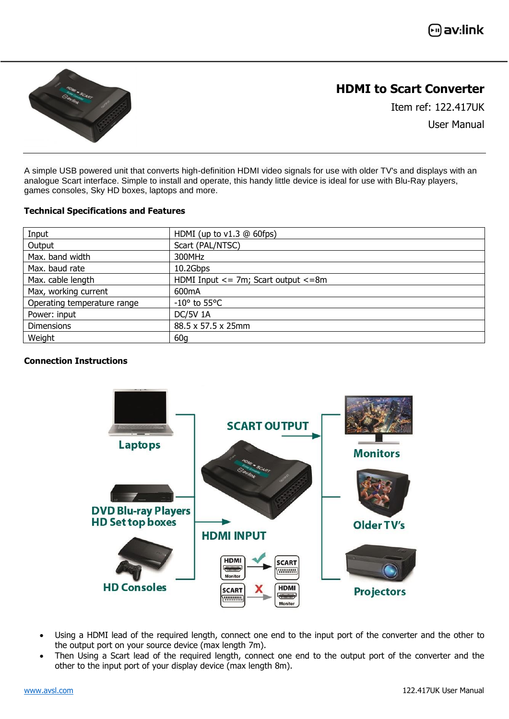**ြု)** av:link



## **HDMI to Scart Converter**

Item ref: 122.417UK User Manual

A simple USB powered unit that converts high-definition HDMI video signals for use with older TV's and displays with an analogue Scart interface. Simple to install and operate, this handy little device is ideal for use with Blu-Ray players, games consoles, Sky HD boxes, laptops and more.

### **Technical Specifications and Features**

| Input                       | HDMI (up to $v1.3$ @ 60fps)                |
|-----------------------------|--------------------------------------------|
| Output                      | Scart (PAL/NTSC)                           |
| Max. band width             | 300MHz                                     |
| Max. baud rate              | 10.2Gbps                                   |
| Max. cable length           | HDMI Input $\le$ 7m; Scart output $\le$ 8m |
| Max, working current        | 600mA                                      |
| Operating temperature range | $-10^{\circ}$ to 55 $^{\circ}$ C           |
| Power: input                | <b>DC/5V 1A</b>                            |
| <b>Dimensions</b>           | 88.5 x 57.5 x 25mm                         |
| Weight                      | 60 <sub>q</sub>                            |

### **Connection Instructions**



- Using a HDMI lead of the required length, connect one end to the input port of the converter and the other to the output port on your source device (max length 7m).
- Then Using a Scart lead of the required length, connect one end to the output port of the converter and the other to the input port of your display device (max length 8m).